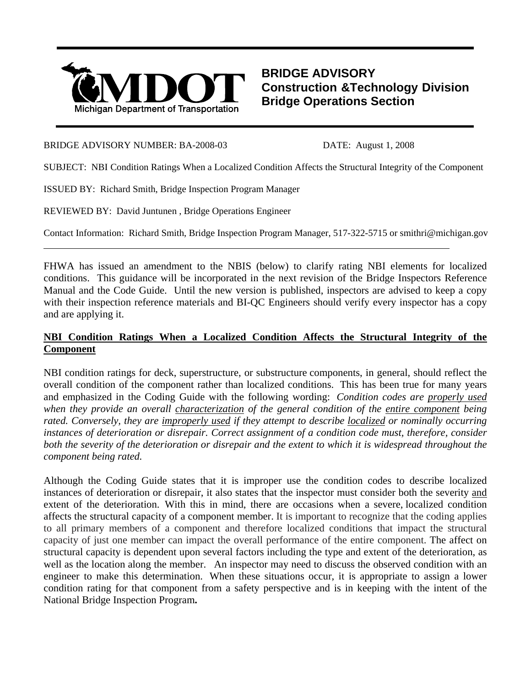

## **BRIDGE ADVISORY Construction &Technology Division Bridge Operations Section**

## BRIDGE ADVISORY NUMBER: BA-2008-03 DATE: August 1, 2008

l

SUBJECT: NBI Condition Ratings When a Localized Condition Affects the Structural Integrity of the Component

ISSUED BY: Richard Smith, Bridge Inspection Program Manager

REVIEWED BY: David Juntunen , Bridge Operations Engineer

Contact Information: Richard Smith, Bridge Inspection Program Manager, 517-322-5715 or smithri@michigan.gov

FHWA has issued an amendment to the NBIS (below) to clarify rating NBI elements for localized conditions. This guidance will be incorporated in the next revision of the Bridge Inspectors Reference Manual and the Code Guide. Until the new version is published, inspectors are advised to keep a copy with their inspection reference materials and BI-OC Engineers should verify every inspector has a copy and are applying it.

## **NBI Condition Ratings When a Localized Condition Affects the Structural Integrity of the Component**

NBI condition ratings for deck, superstructure, or substructure components, in general, should reflect the overall condition of the component rather than localized conditions. This has been true for many years and emphasized in the Coding Guide with the following wording: *Condition codes are properly used when they provide an overall characterization of the general condition of the entire component being rated. Conversely, they are improperly used if they attempt to describe localized or nominally occurring instances of deterioration or disrepair. Correct assignment of a condition code must, therefore, consider both the severity of the deterioration or disrepair and the extent to which it is widespread throughout the component being rated.*

Although the Coding Guide states that it is improper use the condition codes to describe localized instances of deterioration or disrepair, it also states that the inspector must consider both the severity and extent of the deterioration. With this in mind, there are occasions when a severe, localized condition affects the structural capacity of a component member. It is important to recognize that the coding applies to all primary members of a component and therefore localized conditions that impact the structural capacity of just one member can impact the overall performance of the entire component. The affect on structural capacity is dependent upon several factors including the type and extent of the deterioration, as well as the location along the member.An inspector may need to discuss the observed condition with an engineer to make this determination. When these situations occur, it is appropriate to assign a lower condition rating for that component from a safety perspective and is in keeping with the intent of the National Bridge Inspection Program**.**